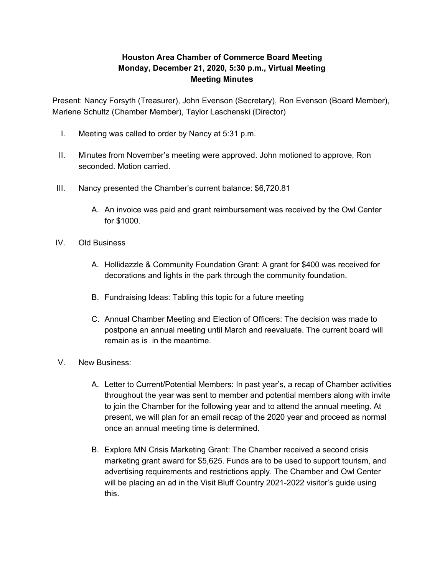## **Houston Area Chamber of Commerce Board Meeting Monday, December 21, 2020, 5:30 p.m., Virtual Meeting Meeting Minutes**

Present: Nancy Forsyth (Treasurer), John Evenson (Secretary), Ron Evenson (Board Member), Marlene Schultz (Chamber Member), Taylor Laschenski (Director)

- I. Meeting was called to order by Nancy at 5:31 p.m.
- II. Minutes from November's meeting were approved. John motioned to approve, Ron seconded. Motion carried.
- III. Nancy presented the Chamber's current balance: \$6,720.81
	- A. An invoice was paid and grant reimbursement was received by the Owl Center for \$1000.
- IV. Old Business
	- A. Hollidazzle & Community Foundation Grant: A grant for \$400 was received for decorations and lights in the park through the community foundation.
	- B. Fundraising Ideas: Tabling this topic for a future meeting
	- C. Annual Chamber Meeting and Election of Officers: The decision was made to postpone an annual meeting until March and reevaluate. The current board will remain as is in the meantime.
- V. New Business:
	- A. Letter to Current/Potential Members: In past year's, a recap of Chamber activities throughout the year was sent to member and potential members along with invite to join the Chamber for the following year and to attend the annual meeting. At present, we will plan for an email recap of the 2020 year and proceed as normal once an annual meeting time is determined.
	- B. Explore MN Crisis Marketing Grant: The Chamber received a second crisis marketing grant award for \$5,625. Funds are to be used to support tourism, and advertising requirements and restrictions apply. The Chamber and Owl Center will be placing an ad in the Visit Bluff Country 2021-2022 visitor's guide using this.